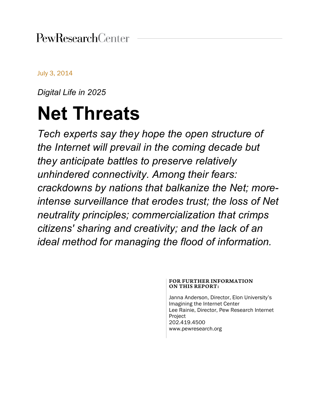**PewResearchCenter** 

July 3, 2014

*Digital Life in 2025*

# **Net Threats**

*Tech experts say they hope the open structure of the Internet will prevail in the coming decade but they anticipate battles to preserve relatively unhindered connectivity. Among their fears: crackdowns by nations that balkanize the Net; moreintense surveillance that erodes trust; the loss of Net neutrality principles; commercialization that crimps citizens' sharing and creativity; and the lack of an ideal method for managing the flood of information.*

#### FOR FURTHER INFORMATION ON THIS REPORT:

Janna Anderson, Director, Elon University's Imagining the Internet Center Lee Rainie, Director, Pew Research Internet Project 202.419.4500 www.pewresearch.org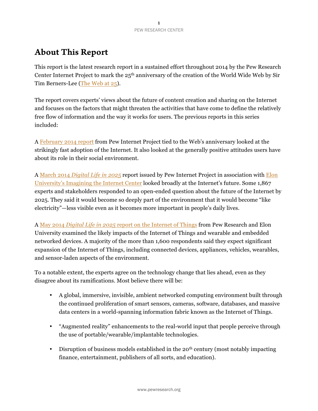# About This Report

This report is the latest research report in a sustained effort throughout 2014 by the Pew Research Center Internet Project to mark the  $25<sup>th</sup>$  anniversary of the creation of the World Wide Web by Sir Tim Berners-Lee (The Web at 25).

The report covers experts' views about the future of content creation and sharing on the Internet and focuses on the factors that might threaten the activities that have come to define the relatively free flow of information and the way it works for users. The previous reports in this series included:

A February 2014 report from Pew Internet Project tied to the Web's anniversary looked at the strikingly fast adoption of the Internet. It also looked at the generally positive attitudes users have about its role in their social environment.

A March 2014 *Digital Life in 2025* report issued by Pew Internet Project in association with Elon University's Imagining the Internet Center looked broadly at the Internet's future. Some 1,867 experts and stakeholders responded to an open-ended question about the future of the Internet by 2025. They said it would become so deeply part of the environment that it would become "like electricity"—less visible even as it becomes more important in people's daily lives.

A May 2014 *Digital Life in 2025* report on the Internet of Things from Pew Research and Elon University examined the likely impacts of the Internet of Things and wearable and embedded networked devices. A majority of the more than 1,600 respondents said they expect significant expansion of the Internet of Things, including connected devices, appliances, vehicles, wearables, and sensor-laden aspects of the environment.

To a notable extent, the experts agree on the technology change that lies ahead, even as they disagree about its ramifications. Most believe there will be:

- A global, immersive, invisible, ambient networked computing environment built through the continued proliferation of smart sensors, cameras, software, databases, and massive data centers in a world-spanning information fabric known as the Internet of Things.
- "Augmented reality" enhancements to the real-world input that people perceive through the use of portable/wearable/implantable technologies.
- Disruption of business models established in the  $20<sup>th</sup>$  century (most notably impacting finance, entertainment, publishers of all sorts, and education).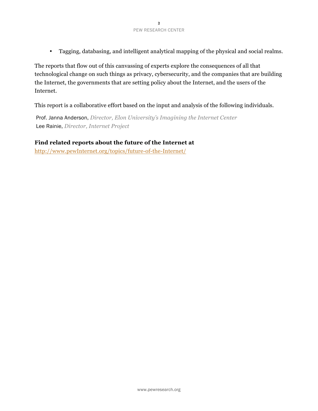• Tagging, databasing, and intelligent analytical mapping of the physical and social realms.

The reports that flow out of this canvassing of experts explore the consequences of all that technological change on such things as privacy, cybersecurity, and the companies that are building the Internet, the governments that are setting policy about the Internet, and the users of the Internet.

This report is a collaborative effort based on the input and analysis of the following individuals.

Prof. Janna Anderson, *Director, Elon University's Imagining the Internet Center* Lee Rainie, *Director, Internet Project*

# **Find related reports about the future of the Internet at** http://www.pewInternet.org/topics/future-of-the-Internet/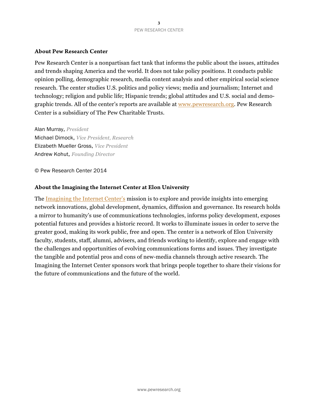#### About Pew Research Center

Pew Research Center is a nonpartisan fact tank that informs the public about the issues, attitudes and trends shaping America and the world. It does not take policy positions. It conducts public opinion polling, demographic research, media content analysis and other empirical social science research. The center studies U.S. politics and policy views; media and journalism; Internet and technology; religion and public life; Hispanic trends; global attitudes and U.S. social and demographic trends. All of the center's reports are available at www.pewresearch.org. Pew Research Center is a subsidiary of The Pew Charitable Trusts.

Alan Murray, *President* Michael Dimock, *Vice President, Research*  Elizabeth Mueller Gross, *Vice President* Andrew Kohut, *Founding Director*

© Pew Research Center 2014

#### About the Imagining the Internet Center at Elon University

The Imagining the Internet Center's mission is to explore and provide insights into emerging network innovations, global development, dynamics, diffusion and governance. Its research holds a mirror to humanity's use of communications technologies, informs policy development, exposes potential futures and provides a historic record. It works to illuminate issues in order to serve the greater good, making its work public, free and open. The center is a network of Elon University faculty, students, staff, alumni, advisers, and friends working to identify, explore and engage with the challenges and opportunities of evolving communications forms and issues. They investigate the tangible and potential pros and cons of new-media channels through active research. The Imagining the Internet Center sponsors work that brings people together to share their visions for the future of communications and the future of the world.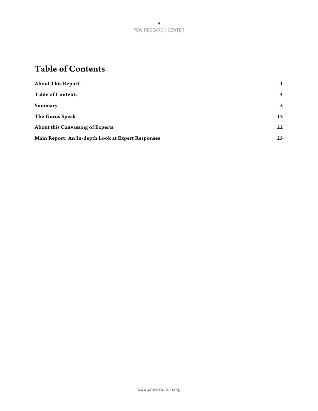# Table of Contents

| <b>About This Report</b>                          |                |
|---------------------------------------------------|----------------|
| <b>Table of Contents</b>                          | $\overline{4}$ |
| Summary                                           | 5              |
| The Gurus Speak                                   | 13             |
| About this Canvassing of Experts                  | 22             |
| Main Report: An In-depth Look at Expert Responses | 25             |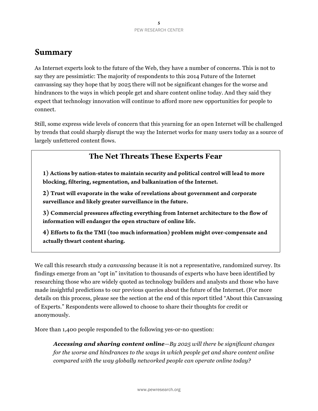# Summary

As Internet experts look to the future of the Web, they have a number of concerns. This is not to say they are pessimistic: The majority of respondents to this 2014 Future of the Internet canvassing say they hope that by 2025 there will not be significant changes for the worse and hindrances to the ways in which people get and share content online today. And they said they expect that technology innovation will continue to afford more new opportunities for people to connect.

Still, some express wide levels of concern that this yearning for an open Internet will be challenged by trends that could sharply disrupt the way the Internet works for many users today as a source of largely unfettered content flows.

# **The Net Threats These Experts Fear**

1) Actions by nation-states to maintain security and political control will lead to more blocking, filtering, segmentation, and balkanization of the Internet.

2) Trust will evaporate in the wake of revelations about government and corporate surveillance and likely greater surveillance in the future.

3) Commercial pressures affecting everything from Internet architecture to the flow of information will endanger the open structure of online life.

4) Efforts to fix the TMI (too much information) problem might over-compensate and actually thwart content sharing.

We call this research study a *canvassing* because it is not a representative, randomized survey. Its findings emerge from an "opt in" invitation to thousands of experts who have been identified by researching those who are widely quoted as technology builders and analysts and those who have made insightful predictions to our previous queries about the future of the Internet. (For more details on this process, please see the section at the end of this report titled "About this Canvassing of Experts." Respondents were allowed to choose to share their thoughts for credit or anonymously.

More than 1,400 people responded to the following yes-or-no question:

*Accessing and sharing content online—By 2025 will there be significant changes for the worse and hindrances to the ways in which people get and share content online compared with the way globally networked people can operate online today?*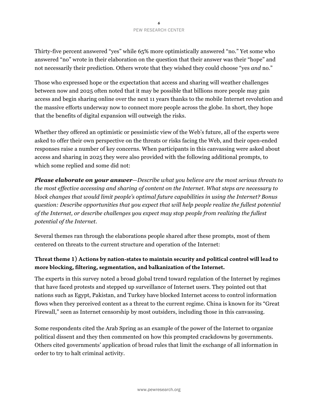Thirty-five percent answered "yes" while 65% more optimistically answered "no." Yet some who answered "no" wrote in their elaboration on the question that their answer was their "hope" and not necessarily their prediction. Others wrote that they wished they could choose "yes *and* no."

Those who expressed hope or the expectation that access and sharing will weather challenges between now and 2025 often noted that it may be possible that billions more people may gain access and begin sharing online over the next 11 years thanks to the mobile Internet revolution and the massive efforts underway now to connect more people across the globe. In short, they hope that the benefits of digital expansion will outweigh the risks.

Whether they offered an optimistic or pessimistic view of the Web's future, all of the experts were asked to offer their own perspective on the threats or risks facing the Web, and their open-ended responses raise a number of key concerns. When participants in this canvassing were asked about access and sharing in 2025 they were also provided with the following additional prompts, to which some replied and some did not:

*Please elaborate on your answer—Describe what you believe are the most serious threats to the most effective accessing and sharing of content on the Internet. What steps are necessary to block changes that would limit people's optimal future capabilities in using the Internet? Bonus question: Describe opportunities that you expect that will help people realize the fullest potential of the Internet, or describe challenges you expect may stop people from realizing the fullest potential of the Internet.*

Several themes ran through the elaborations people shared after these prompts, most of them centered on threats to the current structure and operation of the Internet:

# Threat theme 1) Actions by nation-states to maintain security and political control will lead to more blocking, filtering, segmentation, and balkanization of the Internet.

The experts in this survey noted a broad global trend toward regulation of the Internet by regimes that have faced protests and stepped up surveillance of Internet users. They pointed out that nations such as Egypt, Pakistan, and Turkey have blocked Internet access to control information flows when they perceived content as a threat to the current regime. China is known for its "Great Firewall," seen as Internet censorship by most outsiders, including those in this canvassing.

Some respondents cited the Arab Spring as an example of the power of the Internet to organize political dissent and they then commented on how this prompted crackdowns by governments. Others cited governments' application of broad rules that limit the exchange of all information in order to try to halt criminal activity.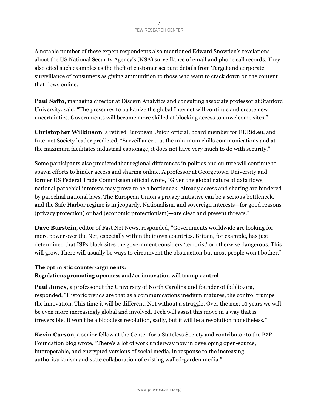A notable number of these expert respondents also mentioned Edward Snowden's revelations about the US National Security Agency's (NSA) surveillance of email and phone call records. They also cited such examples as the theft of customer account details from Target and corporate surveillance of consumers as giving ammunition to those who want to crack down on the content that flows online.

**Paul Saffo**, managing director at Discern Analytics and consulting associate professor at Stanford University, said, "The pressures to balkanize the global Internet will continue and create new uncertainties. Governments will become more skilled at blocking access to unwelcome sites."

**Christopher Wilkinson**, a retired European Union official, board member for EURid.eu, and Internet Society leader predicted, "Surveillance… at the minimum chills communications and at the maximum facilitates industrial espionage, it does not have very much to do with security."

Some participants also predicted that regional differences in politics and culture will continue to spawn efforts to hinder access and sharing online. A professor at Georgetown University and former US Federal Trade Commission official wrote, "Given the global nature of data flows, national parochial interests may prove to be a bottleneck. Already access and sharing are hindered by parochial national laws. The European Union's privacy initiative can be a serious bottleneck, and the Safe Harbor regime is in jeopardy. Nationalism, and sovereign interests—for good reasons (privacy protection) or bad (economic protectionism)—are clear and present threats."

**Dave Burstein**, editor of Fast Net News, responded, "Governments worldwide are looking for more power over the Net, especially within their own countries. Britain, for example, has just determined that ISPs block sites the government considers 'terrorist' or otherwise dangerous. This will grow. There will usually be ways to circumvent the obstruction but most people won't bother."

# The optimistic counter-arguments: Regulations promoting openness and/or innovation will trump control

**Paul Jones,** a professor at the University of North Carolina and founder of ibiblio.org, responded, "Historic trends are that as a communications medium matures, the control trumps the innovation. This time it will be different. Not without a struggle. Over the next 10 years we will be even more increasingly global and involved. Tech will assist this move in a way that is irreversible. It won't be a bloodless revolution, sadly, but it will be a revolution nonetheless."

**Kevin Carson**, a senior fellow at the Center for a Stateless Society and contributor to the P2P Foundation blog wrote, "There's a lot of work underway now in developing open-source, interoperable, and encrypted versions of social media, in response to the increasing authoritarianism and state collaboration of existing walled-garden media."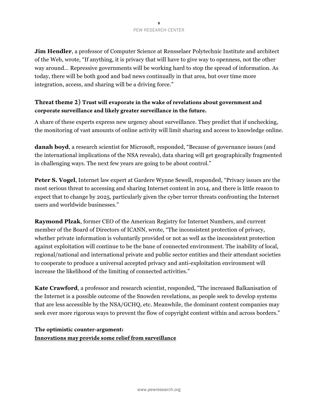**Jim Hendler**, a professor of Computer Science at Rensselaer Polytechnic Institute and architect of the Web, wrote, "If anything, it is privacy that will have to give way to openness, not the other way around… Repressive governments will be working hard to stop the spread of information. As today, there will be both good and bad news continually in that area, but over time more integration, access, and sharing will be a driving force."

# Threat theme 2) Trust will evaporate in the wake of revelations about government and corporate surveillance and likely greater surveillance in the future.

A share of these experts express new urgency about surveillance. They predict that if unchecking, the monitoring of vast amounts of online activity will limit sharing and access to knowledge online.

**danah boyd**, a research scientist for Microsoft, responded, "Because of governance issues (and the international implications of the NSA reveals), data sharing will get geographically fragmented in challenging ways. The next few years are going to be about control."

**Peter S. Vogel**, Internet law expert at Gardere Wynne Sewell, responded, "Privacy issues are the most serious threat to accessing and sharing Internet content in 2014, and there is little reason to expect that to change by 2025, particularly given the cyber terror threats confronting the Internet users and worldwide businesses."

**Raymond Plzak**, former CEO of the American Registry for Internet Numbers, and current member of the Board of Directors of ICANN, wrote, "The inconsistent protection of privacy, whether private information is voluntarily provided or not as well as the inconsistent protection against exploitation will continue to be the bane of connected environment. The inability of local, regional/national and international private and public sector entities and their attendant societies to cooperate to produce a universal accepted privacy and anti-exploitation environment will increase the likelihood of the limiting of connected activities."

**Kate Crawford**, a professor and research scientist, responded, "The increased Balkanisation of the Internet is a possible outcome of the Snowden revelations, as people seek to develop systems that are less accessible by the NSA/GCHQ, etc. Meanwhile, the dominant content companies may seek ever more rigorous ways to prevent the flow of copyright content within and across borders."

The optimistic counter-argument: Innovations may provide some relief from surveillance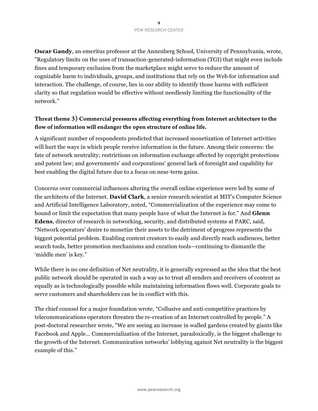**Oscar Gandy**, an emeritus professor at the Annenberg School, University of Pennsylvania, wrote, "Regulatory limits on the uses of transaction-generated-information (TGI) that might even include fines and temporary exclusion from the marketplace might serve to reduce the amount of cognizable harm to individuals, groups, and institutions that rely on the Web for information and interaction. The challenge, of course, lies in our ability to identify those harms with sufficient clarity so that regulation would be effective without needlessly limiting the functionality of the network."

# Threat theme 3) Commercial pressures affecting everything from Internet architecture to the flow of information will endanger the open structure of online life.

A significant number of respondents predicted that increased monetization of Internet activities will hurt the ways in which people receive information in the future. Among their concerns: the fate of network neutrality; restrictions on information exchange affected by copyright protections and patent law; and governments' and corporations' general lack of foresight and capability for best enabling the digital future due to a focus on near-term gains.

Concerns over commercial influences altering the overall online experience were led by some of the architects of the Internet. **David Clark**, a senior research scientist at MIT's Computer Science and Artificial Intelligence Laboratory, noted, "Commercialization of the experience may come to bound or limit the expectation that many people have of what the Internet is for." And **Glenn Edens**, director of research in networking, security, and distributed systems at PARC, said, "Network operators' desire to monetize their assets to the detriment of progress represents the biggest potential problem. Enabling content creators to easily and directly reach audiences, better search tools, better promotion mechanisms and curation tools—continuing to dismantle the 'middle men' is key."

While there is no one definition of Net neutrality, it is generally expressed as the idea that the best public network should be operated in such a way as to treat all senders and receivers of content as equally as is technologically possible while maintaining information flows well. Corporate goals to serve customers and shareholders can be in conflict with this.

The chief counsel for a major foundation wrote, "Collusive and anti-competitive practices by telecommunications operators threaten the re-creation of an Internet controlled by people." A post-doctoral researcher wrote, "We are seeing an increase in walled gardens created by giants like Facebook and Apple… Commercialization of the Internet, paradoxically, is the biggest challenge to the growth of the Internet. Communication networks' lobbying against Net neutrality is the biggest example of this."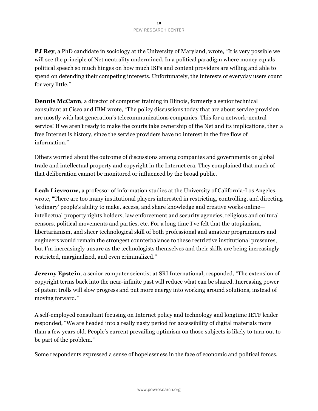**PJ Rey**, a PhD candidate in sociology at the University of Maryland, wrote, "It is very possible we will see the principle of Net neutrality undermined. In a political paradigm where money equals political speech so much hinges on how much ISPs and content providers are willing and able to spend on defending their competing interests. Unfortunately, the interests of everyday users count for very little."

**Dennis McCann**, a director of computer training in Illinois, formerly a senior technical consultant at Cisco and IBM wrote, "The policy discussions today that are about service provision are mostly with last generation's telecommunications companies. This for a network-neutral service! If we aren't ready to make the courts take ownership of the Net and its implications, then a free Internet is history, since the service providers have no interest in the free flow of information."

Others worried about the outcome of discussions among companies and governments on global trade and intellectual property and copyright in the Internet era. They complained that much of that deliberation cannot be monitored or influenced by the broad public.

**Leah Lievrouw,** a professor of information studies at the University of California-Los Angeles, wrote, "There are too many institutional players interested in restricting, controlling, and directing 'ordinary' people's ability to make, access, and share knowledge and creative works online intellectual property rights holders, law enforcement and security agencies, religious and cultural censors, political movements and parties, etc. For a long time I've felt that the utopianism, libertarianism, and sheer technological skill of both professional and amateur programmers and engineers would remain the strongest counterbalance to these restrictive institutional pressures, but I'm increasingly unsure as the technologists themselves and their skills are being increasingly restricted, marginalized, and even criminalized."

**Jeremy Epstein**, a senior computer scientist at SRI International, responded, "The extension of copyright terms back into the near-infinite past will reduce what can be shared. Increasing power of patent trolls will slow progress and put more energy into working around solutions, instead of moving forward."

A self-employed consultant focusing on Internet policy and technology and longtime IETF leader responded, "We are headed into a really nasty period for accessibility of digital materials more than a few years old. People's current prevailing optimism on those subjects is likely to turn out to be part of the problem."

Some respondents expressed a sense of hopelessness in the face of economic and political forces.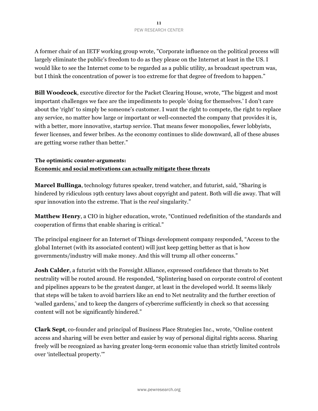#### 11 PEW RESEARCH CENTER

A former chair of an IETF working group wrote, "Corporate influence on the political process will largely eliminate the public's freedom to do as they please on the Internet at least in the US. I would like to see the Internet come to be regarded as a public utility, as broadcast spectrum was, but I think the concentration of power is too extreme for that degree of freedom to happen."

**Bill Woodcock**, executive director for the Packet Clearing House, wrote, "The biggest and most important challenges we face are the impediments to people 'doing for themselves.' I don't care about the 'right' to simply be someone's customer. I want the right to compete, the right to replace any service, no matter how large or important or well-connected the company that provides it is, with a better, more innovative, startup service. That means fewer monopolies, fewer lobbyists, fewer licenses, and fewer bribes. As the economy continues to slide downward, all of these abuses are getting worse rather than better."

## The optimistic counter-arguments: Economic and social motivations can actually mitigate these threats

**Marcel Bullinga**, technology futures speaker, trend watcher, and futurist, said, "Sharing is hindered by ridiculous 19th century laws about copyright and patent. Both will die away. That will spur innovation into the extreme. That is the *real* singularity."

**Matthew Henry**, a CIO in higher education, wrote, "Continued redefinition of the standards and cooperation of firms that enable sharing is critical."

The principal engineer for an Internet of Things development company responded, "Access to the global Internet (with its associated content) will just keep getting better as that is how governments/industry will make money. And this will trump all other concerns."

**Josh Calder**, a futurist with the Foresight Alliance, expressed confidence that threats to Net neutrality will be routed around. He responded, "Splintering based on corporate control of content and pipelines appears to be the greatest danger, at least in the developed world. It seems likely that steps will be taken to avoid barriers like an end to Net neutrality and the further erection of 'walled gardens,' and to keep the dangers of cybercrime sufficiently in check so that accessing content will not be significantly hindered."

**Clark Sept**, co-founder and principal of Business Place Strategies Inc., wrote, "Online content access and sharing will be even better and easier by way of personal digital rights access. Sharing freely will be recognized as having greater long-term economic value than strictly limited controls over 'intellectual property.'"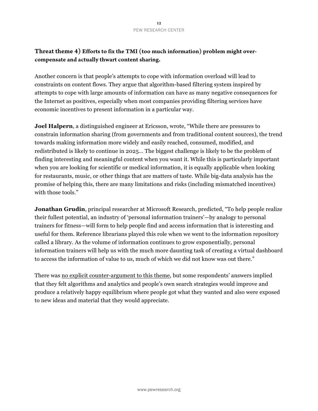# Threat theme 4) Efforts to fix the TMI (too much information) problem might overcompensate and actually thwart content sharing.

Another concern is that people's attempts to cope with information overload will lead to constraints on content flows. They argue that algorithm-based filtering system inspired by attempts to cope with large amounts of information can have as many negative consequences for the Internet as positives, especially when most companies providing filtering services have economic incentives to present information in a particular way.

**Joel Halpern**, a distinguished engineer at Ericsson, wrote, "While there are pressures to constrain information sharing (from governments and from traditional content sources), the trend towards making information more widely and easily reached, consumed, modified, and redistributed is likely to continue in 2025… The biggest challenge is likely to be the problem of finding interesting and meaningful content when you want it. While this is particularly important when you are looking for scientific or medical information, it is equally applicable when looking for restaurants, music, or other things that are matters of taste. While big-data analysis has the promise of helping this, there are many limitations and risks (including mismatched incentives) with those tools."

**Jonathan Grudin**, principal researcher at Microsoft Research, predicted, "To help people realize their fullest potential, an industry of 'personal information trainers'—by analogy to personal trainers for fitness—will form to help people find and access information that is interesting and useful for them. Reference librarians played this role when we went to the information repository called a library. As the volume of information continues to grow exponentially, personal information trainers will help us with the much more daunting task of creating a virtual dashboard to access the information of value to us, much of which we did not know was out there."

There was no explicit counter-argument to this theme, but some respondents' answers implied that they felt algorithms and analytics and people's own search strategies would improve and produce a relatively happy equilibrium where people got what they wanted and also were exposed to new ideas and material that they would appreciate.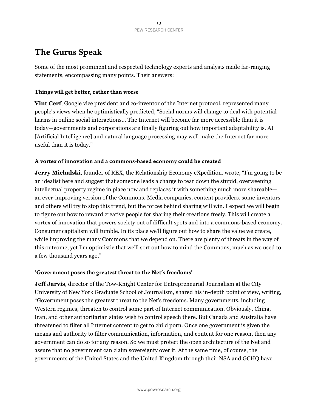# The Gurus Speak

Some of the most prominent and respected technology experts and analysts made far-ranging statements, encompassing many points. Their answers:

#### Things will get better, rather than worse

**Vint Cerf**, Google vice president and co-inventor of the Internet protocol, represented many people's views when he optimistically predicted, "Social norms will change to deal with potential harms in online social interactions… The Internet will become far more accessible than it is today—governments and corporations are finally figuring out how important adaptability is. AI [Artificial Intelligence] and natural language processing may well make the Internet far more useful than it is today."

#### A vortex of innovation and a commons-based economy could be created

**Jerry Michalski**, founder of REX, the Relationship Economy eXpedition, wrote, "I'm going to be an idealist here and suggest that someone leads a charge to tear down the stupid, overweening intellectual property regime in place now and replaces it with something much more shareable an ever-improving version of the Commons. Media companies, content providers, some inventors and others will try to stop this trend, but the forces behind sharing will win. I expect we will begin to figure out how to reward creative people for sharing their creations freely. This will create a vortex of innovation that powers society out of difficult spots and into a commons-based economy. Consumer capitalism will tumble. In its place we'll figure out how to share the value we create, while improving the many Commons that we depend on. There are plenty of threats in the way of this outcome, yet I'm optimistic that we'll sort out how to mind the Commons, much as we used to a few thousand years ago."

#### 'Government poses the greatest threat to the Net's freedoms'

**Jeff Jarvis**, director of the Tow-Knight Center for Entrepreneurial Journalism at the City University of New York Graduate School of Journalism, shared his in-depth point of view, writing, "Government poses the greatest threat to the Net's freedoms. Many governments, including Western regimes, threaten to control some part of Internet communication. Obviously, China, Iran, and other authoritarian states wish to control speech there. But Canada and Australia have threatened to filter all Internet content to get to child porn. Once one government is given the means and authority to filter communication, information, and content for one reason, then any government can do so for any reason. So we must protect the open architecture of the Net and assure that no government can claim sovereignty over it. At the same time, of course, the governments of the United States and the United Kingdom through their NSA and GCHQ have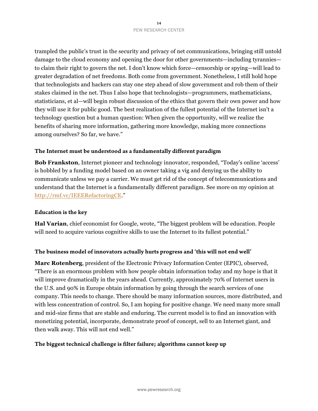trampled the public's trust in the security and privacy of net communications, bringing still untold damage to the cloud economy and opening the door for other governments—including tyrannies to claim their right to govern the net. I don't know which force—censorship or spying—will lead to greater degradation of net freedoms. Both come from government. Nonetheless, I still hold hope that technologists and hackers can stay one step ahead of slow government and rob them of their stakes claimed in the net. Thus I also hope that technologists—programmers, mathematicians, statisticians, et al—will begin robust discussion of the ethics that govern their own power and how they will use it for public good. The best realization of the fullest potential of the Internet isn't a technology question but a human question: When given the opportunity, will we realize the benefits of sharing more information, gathering more knowledge, making more connections among ourselves? So far, we have."

#### The Internet must be understood as a fundamentally different paradigm

**Bob Frankston**, Internet pioneer and technology innovator, responded, "Today's online 'access' is hobbled by a funding model based on an owner taking a vig and denying us the ability to communicate unless we pay a carrier. We must get rid of the concept of telecommunications and understand that the Internet is a fundamentally different paradigm. See more on my opinion at http://rmf.vc/IEEERefactoringCE."

#### Education is the key

**Hal Varian**, chief economist for Google, wrote, "The biggest problem will be education. People will need to acquire various cognitive skills to use the Internet to its fullest potential."

#### The business model of innovators actually hurts progress and 'this will not end well'

**Marc Rotenberg**, president of the Electronic Privacy Information Center (EPIC), observed, "There is an enormous problem with how people obtain information today and my hope is that it will improve dramatically in the years ahead. Currently, approximately 70% of Internet users in the U.S. and 90% in Europe obtain information by going through the search services of one company. This needs to change. There should be many information sources, more distributed, and with less concentration of control. So, I am hoping for positive change. We need many more small and mid-size firms that are stable and enduring. The current model is to find an innovation with monetizing potential, incorporate, demonstrate proof of concept, sell to an Internet giant, and then walk away. This will not end well."

#### The biggest technical challenge is filter failure; algorithms cannot keep up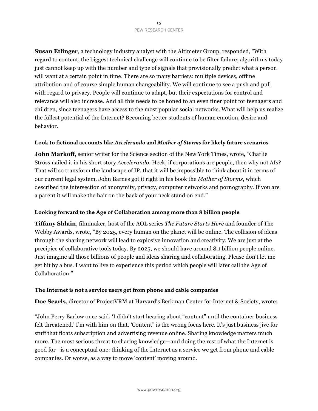**Susan Etlinger**, a technology industry analyst with the Altimeter Group, responded, "With regard to content, the biggest technical challenge will continue to be filter failure; algorithms today just cannot keep up with the number and type of signals that provisionally predict what a person will want at a certain point in time. There are so many barriers: multiple devices, offline attribution and of course simple human changeability. We will continue to see a push and pull with regard to privacy. People will continue to adapt, but their expectations for control and relevance will also increase. And all this needs to be honed to an even finer point for teenagers and children, since teenagers have access to the most popular social networks. What will help us realize the fullest potential of the Internet? Becoming better students of human emotion, desire and behavior.

#### Look to fictional accounts like *Accelerando* and *Mother of Storms* for likely future scenarios

**John Markoff**, senior writer for the Science section of the New York Times, wrote, "Charlie Stross nailed it in his short story *Accelerando*. Heck, if corporations are people, then why not AIs? That will so transform the landscape of IP, that it will be impossible to think about it in terms of our current legal system. John Barnes got it right in his book the *Mother of Storms*, which described the intersection of anonymity, privacy, computer networks and pornography. If you are a parent it will make the hair on the back of your neck stand on end."

#### Looking forward to the Age of Collaboration among more than 8 billion people

**Tiffany Shlain**, filmmaker, host of the AOL series *The Future Starts Here* and founder of The Webby Awards, wrote, "By 2025, every human on the planet will be online. The collision of ideas through the sharing network will lead to explosive innovation and creativity. We are just at the precipice of collaborative tools today. By 2025, we should have around 8.1 billion people online. Just imagine all those billions of people and ideas sharing and collaborating. Please don't let me get hit by a bus. I want to live to experience this period which people will later call the Age of Collaboration."

#### The Internet is not a service users get from phone and cable companies

**Doc Searls**, director of ProjectVRM at Harvard's Berkman Center for Internet & Society, wrote:

"John Perry Barlow once said, 'I didn't start hearing about "content" until the container business felt threatened.' I'm with him on that. 'Content" is the wrong focus here. It's just business jive for stuff that floats subscription and advertising revenue online. Sharing knowledge matters much more. The most serious threat to sharing knowledge—and doing the rest of what the Internet is good for—is a conceptual one: thinking of the Internet as a service we get from phone and cable companies. Or worse, as a way to move 'content' moving around.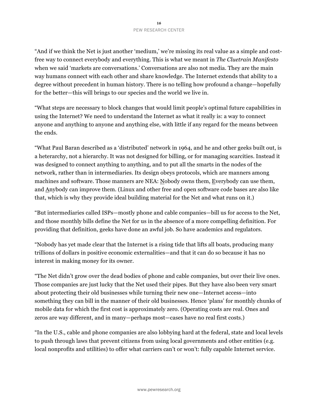"And if we think the Net is just another 'medium,' we're missing its real value as a simple and costfree way to connect everybody and everything. This is what we meant in *The Cluetrain Manifesto* when we said 'markets are conversations.' Conversations are also not media. They are the main way humans connect with each other and share knowledge. The Internet extends that ability to a degree without precedent in human history. There is no telling how profound a change—hopefully for the better—this will brings to our species and the world we live in.

"What steps are necessary to block changes that would limit people's optimal future capabilities in using the Internet? We need to understand the Internet as what it really is: a way to connect anyone and anything to anyone and anything else, with little if any regard for the means between the ends.

"What Paul Baran described as a 'distributed' network in 1964, and he and other geeks built out, is a heterarchy, not a hierarchy. It was not designed for billing, or for managing scarcities. Instead it was designed to connect anything to anything, and to put all the smarts in the nodes of the network, rather than in intermediaries. Its design obeys protocols, which are manners among machines and software. Those manners are NEA: Nobody owns them, Everybody can use them, and Anybody can improve them. (Linux and other free and open software code bases are also like that, which is why they provide ideal building material for the Net and what runs on it.)

"But intermediaries called ISPs—mostly phone and cable companies—bill us for access to the Net, and those monthly bills define the Net for us in the absence of a more compelling definition. For providing that definition, geeks have done an awful job. So have academics and regulators.

"Nobody has yet made clear that the Internet is a rising tide that lifts all boats, producing many trillions of dollars in positive economic externalities—and that it can do so because it has no interest in making money for its owner.

"The Net didn't grow over the dead bodies of phone and cable companies, but over their live ones. Those companies are just lucky that the Net used their pipes. But they have also been very smart about protecting their old businesses while turning their new one—Internet access—into something they can bill in the manner of their old businesses. Hence 'plans' for monthly chunks of mobile data for which the first cost is approximately zero. (Operating costs are real. Ones and zeros are way different, and in many—perhaps most—cases have no real first costs.)

"In the U.S., cable and phone companies are also lobbying hard at the federal, state and local levels to push through laws that prevent citizens from using local governments and other entities (e.g. local nonprofits and utilities) to offer what carriers can't or won't: fully capable Internet service.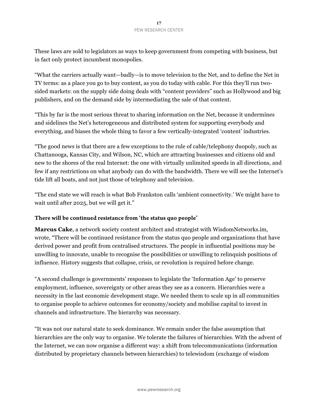These laws are sold to legislators as ways to keep government from competing with business, but in fact only protect incumbent monopolies.

"What the carriers actually want—badly—is to move television to the Net, and to define the Net in TV terms: as a place you go to buy content, as you do today with cable. For this they'll run twosided markets: on the supply side doing deals with "content providers" such as Hollywood and big publishers, and on the demand side by intermediating the sale of that content.

"This by far is the most serious threat to sharing information on the Net, because it undermines and sidelines the Net's heterogeneous and distributed system for supporting everybody and everything, and biases the whole thing to favor a few vertically-integrated 'content' industries.

"The good news is that there are a few exceptions to the rule of cable/telephony duopoly, such as Chattanooga, Kansas City, and Wilson, NC, which are attracting businesses and citizens old and new to the shores of the real Internet: the one with virtually unlimited speeds in all directions, and few if any restrictions on what anybody can do with the bandwidth. There we will see the Internet's tide lift all boats, and not just those of telephony and television.

"The end state we will reach is what Bob Frankston calls 'ambient connectivity.' We might have to wait until after 2025, but we will get it."

### There will be continued resistance from 'the status quo people'

**Marcus Cake**, a network society content architect and strategist with WisdomNetworks.im, wrote, "There will be continued resistance from the status quo people and organizations that have derived power and profit from centralised structures. The people in influential positions may be unwilling to innovate, unable to recognise the possibilities or unwilling to relinquish positions of influence. History suggests that collapse, crisis, or revolution is required before change.

"A second challenge is governments' responses to legislate the 'Information Age' to preserve employment, influence, sovereignty or other areas they see as a concern. Hierarchies were a necessity in the last economic development stage. We needed them to scale up in all communities to organise people to achieve outcomes for economy/society and mobilise capital to invest in channels and infrastructure. The hierarchy was necessary.

"It was not our natural state to seek dominance. We remain under the false assumption that hierarchies are the only way to organise. We tolerate the failures of hierarchies. With the advent of the Internet, we can now organise a different way: a shift from telecommunications (information distributed by proprietary channels between hierarchies) to telewisdom (exchange of wisdom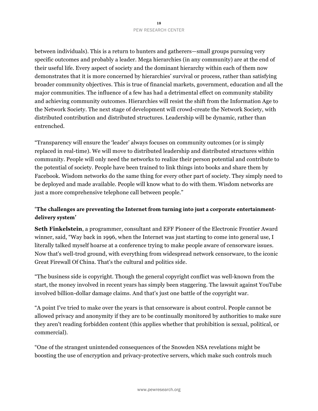between individuals). This is a return to hunters and gatherers—small groups pursuing very specific outcomes and probably a leader. Mega hierarchies (in any community) are at the end of their useful life. Every aspect of society and the dominant hierarchy within each of them now demonstrates that it is more concerned by hierarchies' survival or process, rather than satisfying broader community objectives. This is true of financial markets, government, education and all the major communities. The influence of a few has had a detrimental effect on community stability and achieving community outcomes. Hierarchies will resist the shift from the Information Age to the Network Society. The next stage of development will crowd-create the Network Society, with distributed contribution and distributed structures. Leadership will be dynamic, rather than entrenched.

"Transparency will ensure the 'leader' always focuses on community outcomes (or is simply replaced in real-time). We will move to distributed leadership and distributed structures within community. People will only need the networks to realize their person potential and contribute to the potential of society. People have been trained to link things into books and share them by Facebook. Wisdom networks do the same thing for every other part of society. They simply need to be deployed and made available. People will know what to do with them. Wisdom networks are just a more comprehensive telephone call between people."

# 'The challenges are preventing the Internet from turning into just a corporate entertainmentdelivery system'

**Seth Finkelstein**, a programmer, consultant and EFF Pioneer of the Electronic Frontier Award winner, said, "Way back in 1996, when the Internet was just starting to come into general use, I literally talked myself hoarse at a conference trying to make people aware of censorware issues. Now that's well-trod ground, with everything from widespread network censorware, to the iconic Great Firewall Of China. That's the cultural and politics side.

"The business side is copyright. Though the general copyright conflict was well-known from the start, the money involved in recent years has simply been staggering. The lawsuit against YouTube involved billion-dollar damage claims. And that's just one battle of the copyright war.

"A point I've tried to make over the years is that censorware is about control. People cannot be allowed privacy and anonymity if they are to be continually monitored by authorities to make sure they aren't reading forbidden content (this applies whether that prohibition is sexual, political, or commercial).

"One of the strangest unintended consequences of the Snowden NSA revelations might be boosting the use of encryption and privacy-protective servers, which make such controls much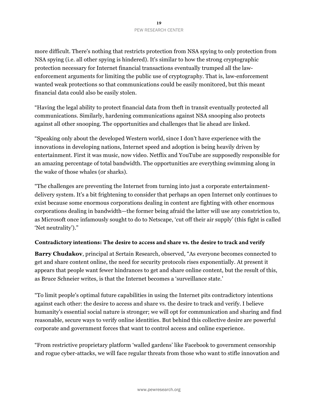more difficult. There's nothing that restricts protection from NSA spying to only protection from NSA spying (i.e. all other spying is hindered). It's similar to how the strong cryptographic protection necessary for Internet financial transactions eventually trumped all the lawenforcement arguments for limiting the public use of cryptography. That is, law-enforcement wanted weak protections so that communications could be easily monitored, but this meant financial data could also be easily stolen.

"Having the legal ability to protect financial data from theft in transit eventually protected all communications. Similarly, hardening communications against NSA snooping also protects against all other snooping. The opportunities and challenges that lie ahead are linked.

"Speaking only about the developed Western world, since I don't have experience with the innovations in developing nations, Internet speed and adoption is being heavily driven by entertainment. First it was music, now video. Netflix and YouTube are supposedly responsible for an amazing percentage of total bandwidth. The opportunities are everything swimming along in the wake of those whales (or sharks).

"The challenges are preventing the Internet from turning into just a corporate entertainmentdelivery system. It's a bit frightening to consider that perhaps an open Internet only continues to exist because some enormous corporations dealing in content are fighting with other enormous corporations dealing in bandwidth—the former being afraid the latter will use any constriction to, as Microsoft once infamously sought to do to Netscape, 'cut off their air supply' (this fight is called 'Net neutrality')."

#### Contradictory intentions: The desire to access and share vs. the desire to track and verify

**Barry Chudakov**, principal at Sertain Research, observed, "As everyone becomes connected to get and share content online, the need for security protocols rises exponentially. At present it appears that people want fewer hindrances to get and share online content, but the result of this, as Bruce Schneier writes, is that the Internet becomes a 'surveillance state.'

"To limit people's optimal future capabilities in using the Internet pits contradictory intentions against each other: the desire to access and share vs. the desire to track and verify. I believe humanity's essential social nature is stronger; we will opt for communication and sharing and find reasonable, secure ways to verify online identities. But behind this collective desire are powerful corporate and government forces that want to control access and online experience.

"From restrictive proprietary platform 'walled gardens' like Facebook to government censorship and rogue cyber-attacks, we will face regular threats from those who want to stifle innovation and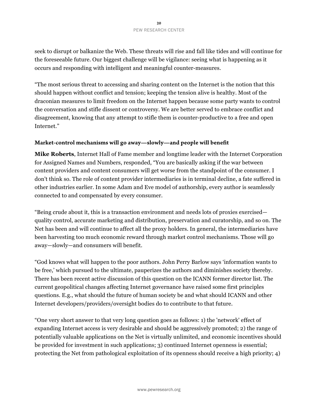seek to disrupt or balkanize the Web. These threats will rise and fall like tides and will continue for the foreseeable future. Our biggest challenge will be vigilance: seeing what is happening as it occurs and responding with intelligent and meaningful counter-measures.

"The most serious threat to accessing and sharing content on the Internet is the notion that this should happen without conflict and tension; keeping the tension alive is healthy. Most of the draconian measures to limit freedom on the Internet happen because some party wants to control the conversation and stifle dissent or controversy. We are better served to embrace conflict and disagreement, knowing that any attempt to stifle them is counter-productive to a free and open Internet."

#### Market-control mechanisms will go away—slowly—and people will benefit

**Mike Roberts**, Internet Hall of Fame member and longtime leader with the Internet Corporation for Assigned Names and Numbers, responded, "You are basically asking if the war between content providers and content consumers will get worse from the standpoint of the consumer. I don't think so. The role of content provider intermediaries is in terminal decline, a fate suffered in other industries earlier. In some Adam and Eve model of authorship, every author is seamlessly connected to and compensated by every consumer.

"Being crude about it, this is a transaction environment and needs lots of proxies exercised quality control, accurate marketing and distribution, preservation and curatorship, and so on. The Net has been and will continue to affect all the proxy holders. In general, the intermediaries have been harvesting too much economic reward through market control mechanisms. Those will go away—slowly—and consumers will benefit.

"God knows what will happen to the poor authors. John Perry Barlow says 'information wants to be free,' which pursued to the ultimate, pauperizes the authors and diminishes society thereby. There has been recent active discussion of this question on the ICANN former director list. The current geopolitical changes affecting Internet governance have raised some first principles questions. E.g., what should the future of human society be and what should ICANN and other Internet developers/providers/oversight bodies do to contribute to that future.

"One very short answer to that very long question goes as follows: 1) the 'network' effect of expanding Internet access is very desirable and should be aggressively promoted; 2) the range of potentially valuable applications on the Net is virtually unlimited, and economic incentives should be provided for investment in such applications; 3) continued Internet openness is essential; protecting the Net from pathological exploitation of its openness should receive a high priority; 4)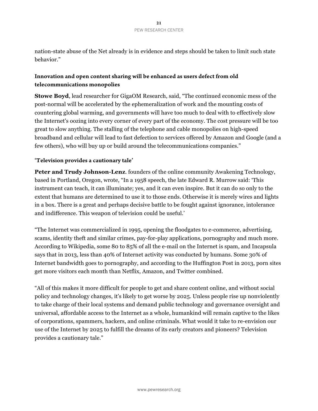nation-state abuse of the Net already is in evidence and steps should be taken to limit such state behavior."

## Innovation and open content sharing will be enhanced as users defect from old telecommunications monopolies

**Stowe Boyd**, lead researcher for GigaOM Research, said, "The continued economic mess of the post-normal will be accelerated by the ephemeralization of work and the mounting costs of countering global warming, and governments will have too much to deal with to effectively slow the Internet's oozing into every corner of every part of the economy. The cost pressure will be too great to slow anything. The stalling of the telephone and cable monopolies on high-speed broadband and cellular will lead to fast defection to services offered by Amazon and Google (and a few others), who will buy up or build around the telecommunications companies."

#### 'Television provides a cautionary tale'

**Peter and Trudy Johnson-Lenz**. founders of the online community Awakening Technology, based in Portland, Oregon, wrote, "In a 1958 speech, the late Edward R. Murrow said: 'This instrument can teach, it can illuminate; yes, and it can even inspire. But it can do so only to the extent that humans are determined to use it to those ends. Otherwise it is merely wires and lights in a box. There is a great and perhaps decisive battle to be fought against ignorance, intolerance and indifference. This weapon of television could be useful.'

"The Internet was commercialized in 1995, opening the floodgates to e-commerce, advertising, scams, identity theft and similar crimes, pay-for-play applications, pornography and much more. According to Wikipedia, some 80 to 85% of all the e-mail on the Internet is spam, and Incapsula says that in 2013, less than 40% of Internet activity was conducted by humans. Some 30% of Internet bandwidth goes to pornography, and according to the Huffington Post in 2013, porn sites get more visitors each month than Netflix, Amazon, and Twitter combined.

"All of this makes it more difficult for people to get and share content online, and without social policy and technology changes, it's likely to get worse by 2025. Unless people rise up nonviolently to take charge of their local systems and demand public technology and governance oversight and universal, affordable access to the Internet as a whole, humankind will remain captive to the likes of corporations, spammers, hackers, and online criminals. What would it take to re-envision our use of the Internet by 2025 to fulfill the dreams of its early creators and pioneers? Television provides a cautionary tale."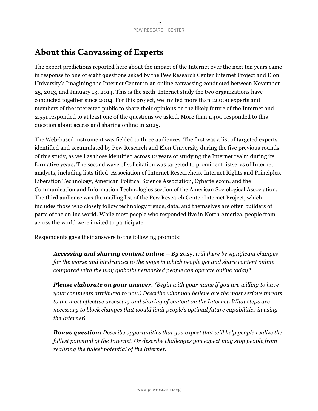# About this Canvassing of Experts

The expert predictions reported here about the impact of the Internet over the next ten years came in response to one of eight questions asked by the Pew Research Center Internet Project and Elon University's Imagining the Internet Center in an online canvassing conducted between November 25, 2013, and January 13, 2014. This is the sixth Internet study the two organizations have conducted together since 2004. For this project, we invited more than 12,000 experts and members of the interested public to share their opinions on the likely future of the Internet and 2,551 responded to at least one of the questions we asked. More than 1,400 responded to this question about access and sharing online in 2025.

The Web-based instrument was fielded to three audiences. The first was a list of targeted experts identified and accumulated by Pew Research and Elon University during the five previous rounds of this study, as well as those identified across 12 years of studying the Internet realm during its formative years. The second wave of solicitation was targeted to prominent listservs of Internet analysts, including lists titled: Association of Internet Researchers, Internet Rights and Principles, Liberation Technology, American Political Science Association, Cybertelecom, and the Communication and Information Technologies section of the American Sociological Association. The third audience was the mailing list of the Pew Research Center Internet Project, which includes those who closely follow technology trends, data, and themselves are often builders of parts of the online world. While most people who responded live in North America, people from across the world were invited to participate.

Respondents gave their answers to the following prompts:

*Accessing and sharing content online – By 2025, will there be significant changes for the worse and hindrances to the ways in which people get and share content online compared with the way globally networked people can operate online today?* 

*Please elaborate on your answer. (Begin with your name if you are willing to have your comments attributed to you.) Describe what you believe are the most serious threats to the most effective accessing and sharing of content on the Internet. What steps are necessary to block changes that would limit people's optimal future capabilities in using the Internet?* 

*Bonus question: Describe opportunities that you expect that will help people realize the fullest potential of the Internet. Or describe challenges you expect may stop people from realizing the fullest potential of the Internet.*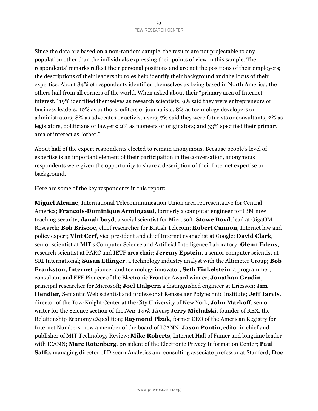Since the data are based on a non-random sample, the results are not projectable to any population other than the individuals expressing their points of view in this sample. The respondents' remarks reflect their personal positions and are not the positions of their employers; the descriptions of their leadership roles help identify their background and the locus of their expertise. About 84% of respondents identified themselves as being based in North America; the others hail from all corners of the world. When asked about their "primary area of Internet interest," 19% identified themselves as research scientists; 9% said they were entrepreneurs or business leaders; 10% as authors, editors or journalists; 8% as technology developers or administrators; 8% as advocates or activist users; 7% said they were futurists or consultants; 2% as legislators, politicians or lawyers; 2% as pioneers or originators; and 33% specified their primary area of interest as "other."

About half of the expert respondents elected to remain anonymous. Because people's level of expertise is an important element of their participation in the conversation, anonymous respondents were given the opportunity to share a description of their Internet expertise or background.

Here are some of the key respondents in this report:

**Miguel Alcaine**, International Telecommunication Union area representative for Central America; **Francois-Dominique Armingaud**, formerly a computer engineer for IBM now teaching security; **danah boyd**, a social scientist for Microsoft; **Stowe Boyd**, lead at GigaOM Research; **Bob Briscoe**, chief researcher for British Telecom; **Robert Cannon**, Internet law and policy expert; **Vint Cerf**, vice president and chief Internet evangelist at Google; **David Clark**, senior scientist at MIT's Computer Science and Artificial Intelligence Laboratory; **Glenn Edens**, research scientist at PARC and IETF area chair; **Jeremy Epstein**, a senior computer scientist at SRI International; **Susan Etlinger**, a technology industry analyst with the Altimeter Group; **Bob Frankston, Internet** pioneer and technology innovator; **Seth Finkelstein**, a programmer, consultant and EFF Pioneer of the Electronic Frontier Award winner; **Jonathan Grudin**, principal researcher for Microsoft; **Joel Halpern** a distinguished engineer at Ericsson; **Jim Hendler**, Semantic Web scientist and professor at Rensselaer Polytechnic Institute**; Jeff Jarvis**, director of the Tow-Knight Center at the City University of New York; **John Markoff**, senior writer for the Science section of the *New York Times***; Jerry Michalski**, founder of REX, the Relationship Economy eXpedition; **Raymond Plzak**, former CEO of the American Registry for Internet Numbers, now a member of the board of ICANN; **Jason Pontin**, editor in chief and publisher of MIT Technology Review; **Mike Roberts**, Internet Hall of Famer and longtime leader with ICANN; **Marc Rotenberg**, president of the Electronic Privacy Information Center; **Paul Saffo**, managing director of Discern Analytics and consulting associate professor at Stanford; **Doc**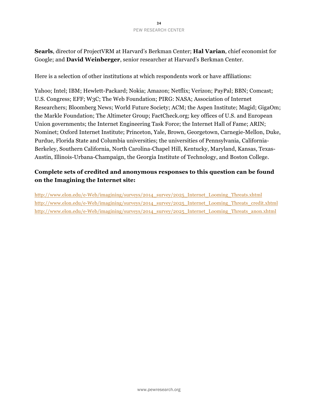**Searls**, director of ProjectVRM at Harvard's Berkman Center; **Hal Varian**, chief economist for Google; and **David Weinberger**, senior researcher at Harvard's Berkman Center.

Here is a selection of other institutions at which respondents work or have affiliations:

Yahoo; Intel; IBM; Hewlett-Packard; Nokia; Amazon; Netflix; Verizon; PayPal; BBN; Comcast; U.S. Congress; EFF; W3C; The Web Foundation; PIRG: NASA; Association of Internet Researchers; Bloomberg News; World Future Society; ACM; the Aspen Institute; Magid; GigaOm; the Markle Foundation; The Altimeter Group; FactCheck.org; key offices of U.S. and European Union governments; the Internet Engineering Task Force; the Internet Hall of Fame; ARIN; Nominet; Oxford Internet Institute; Princeton, Yale, Brown, Georgetown, Carnegie-Mellon, Duke, Purdue, Florida State and Columbia universities; the universities of Pennsylvania, California-Berkeley, Southern California, North Carolina-Chapel Hill, Kentucky, Maryland, Kansas, Texas-Austin, Illinois-Urbana-Champaign, the Georgia Institute of Technology, and Boston College.

# **Complete sets of credited and anonymous responses to this question can be found on the Imagining the Internet site:**

http://www.elon.edu/e-Web/imagining/surveys/2014\_survey/2025\_Internet\_Looming\_Threats.xhtml http://www.elon.edu/e-Web/imagining/surveys/2014\_survey/2025\_Internet\_Looming\_Threats\_credit.xhtml http://www.elon.edu/e-Web/imagining/surveys/2014\_survey/2025\_Internet\_Looming\_Threats\_anon.xhtml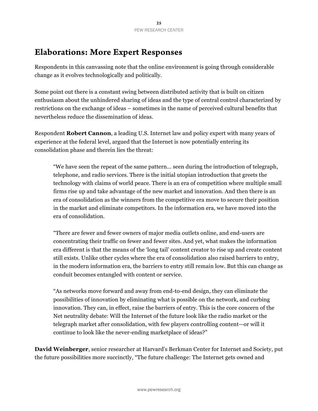# Elaborations: More Expert Responses

Respondents in this canvassing note that the online environment is going through considerable change as it evolves technologically and politically.

Some point out there is a constant swing between distributed activity that is built on citizen enthusiasm about the unhindered sharing of ideas and the type of central control characterized by restrictions on the exchange of ideas – sometimes in the name of perceived cultural benefits that nevertheless reduce the dissemination of ideas.

Respondent **Robert Cannon**, a leading U.S. Internet law and policy expert with many years of experience at the federal level, argued that the Internet is now potentially entering its consolidation phase and therein lies the threat:

"We have seen the repeat of the same pattern… seen during the introduction of telegraph, telephone, and radio services. There is the initial utopian introduction that greets the technology with claims of world peace. There is an era of competition where multiple small firms rise up and take advantage of the new market and innovation. And then there is an era of consolidation as the winners from the competitive era move to secure their position in the market and eliminate competitors. In the information era, we have moved into the era of consolidation.

"There are fewer and fewer owners of major media outlets online, and end-users are concentrating their traffic on fewer and fewer sites. And yet, what makes the information era different is that the means of the 'long tail' content creator to rise up and create content still exists. Unlike other cycles where the era of consolidation also raised barriers to entry, in the modern information era, the barriers to entry still remain low. But this can change as conduit becomes entangled with content or service.

"As networks move forward and away from end-to-end design, they can eliminate the possibilities of innovation by eliminating what is possible on the network, and curbing innovation. They can, in effect, raise the barriers of entry. This is the core concern of the Net neutrality debate: Will the Internet of the future look like the radio market or the telegraph market after consolidation, with few players controlling content—or will it continue to look like the never-ending marketplace of ideas?"

**David Weinberger**, senior researcher at Harvard's Berkman Center for Internet and Society, put the future possibilities more succinctly, "The future challenge: The Internet gets owned and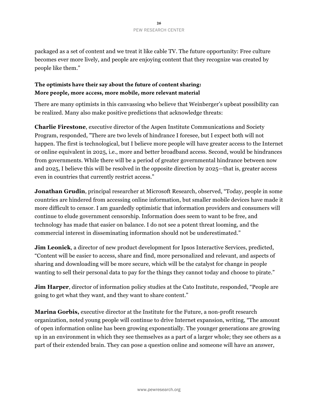packaged as a set of content and we treat it like cable TV. The future opportunity: Free culture becomes ever more lively, and people are enjoying content that they recognize was created by people like them."

# The optimists have their say about the future of content sharing: More people, more access, more mobile, more relevant material

There are many optimists in this canvassing who believe that Weinberger's upbeat possibility can be realized. Many also make positive predictions that acknowledge threats:

**Charlie Firestone**, executive director of the Aspen Institute Communications and Society Program, responded, "There are two levels of hindrance I foresee, but I expect both will not happen. The first is technological, but I believe more people will have greater access to the Internet or online equivalent in 2025, i.e., more and better broadband access. Second, would be hindrances from governments. While there will be a period of greater governmental hindrance between now and 2025, I believe this will be resolved in the opposite direction by 2025—that is, greater access even in countries that currently restrict access."

**Jonathan Grudin**, principal researcher at Microsoft Research, observed, "Today, people in some countries are hindered from accessing online information, but smaller mobile devices have made it more difficult to censor. I am guardedly optimistic that information providers and consumers will continue to elude government censorship. Information does seem to want to be free, and technology has made that easier on balance. I do not see a potent threat looming, and the commercial interest in disseminating information should not be underestimated."

**Jim Leonick**, a director of new product development for Ipsos Interactive Services, predicted, "Content will be easier to access, share and find, more personalized and relevant, and aspects of sharing and downloading will be more secure, which will be the catalyst for change in people wanting to sell their personal data to pay for the things they cannot today and choose to pirate."

**Jim Harper**, director of information policy studies at the Cato Institute, responded, "People are going to get what they want, and they want to share content."

**Marina Gorbis,** executive director at the Institute for the Future, a non-profit research organization, noted young people will continue to drive Internet expansion, writing, "The amount of open information online has been growing exponentially. The younger generations are growing up in an environment in which they see themselves as a part of a larger whole; they see others as a part of their extended brain. They can pose a question online and someone will have an answer,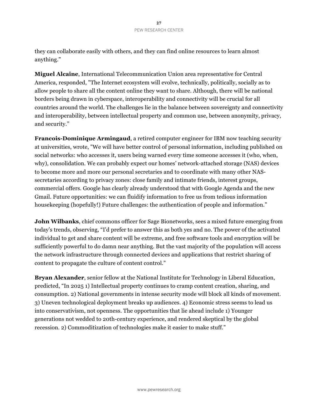they can collaborate easily with others, and they can find online resources to learn almost anything."

**Miguel Alcaine**, International Telecommunication Union area representative for Central America, responded, "The Internet ecosystem will evolve, technically, politically, socially as to allow people to share all the content online they want to share. Although, there will be national borders being drawn in cyberspace, interoperability and connectivity will be crucial for all countries around the world. The challenges lie in the balance between sovereignty and connectivity and interoperability, between intellectual property and common use, between anonymity, privacy, and security."

**Francois-Dominique Armingaud**, a retired computer engineer for IBM now teaching security at universities, wrote, "We will have better control of personal information, including published on social networks: who accesses it, users being warned every time someone accesses it (who, when, why), consolidation. We can probably expect our homes' network-attached storage (NAS) devices to become more and more our personal secretaries and to coordinate with many other NASsecretaries according to privacy zones: close family and intimate friends, interest groups, commercial offers. Google has clearly already understood that with Google Agenda and the new Gmail. Future opportunities: we can fluidify information to free us from tedious information housekeeping (hopefully!) Future challenges: the authentication of people and information."

**John Wilbanks**, chief commons officer for Sage Bionetworks, sees a mixed future emerging from today's trends, observing, "I'd prefer to answer this as both yes and no. The power of the activated individual to get and share content will be extreme, and free software tools and encryption will be sufficiently powerful to do damn near anything. But the vast majority of the population will access the network infrastructure through connected devices and applications that restrict sharing of content to propagate the culture of content control."

**Bryan Alexander**, senior fellow at the National Institute for Technology in Liberal Education, predicted, "In 2025 1) Intellectual property continues to cramp content creation, sharing, and consumption. 2) National governments in intense security mode will block all kinds of movement. 3) Uneven technological deployment breaks up audiences. 4) Economic stress seems to lead us into conservativism, not openness. The opportunities that lie ahead include 1) Younger generations not wedded to 20th-century experience, and rendered skeptical by the global recession. 2) Commoditization of technologies make it easier to make stuff."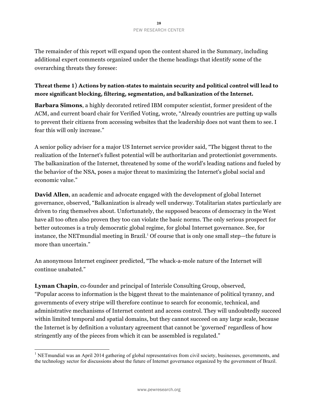The remainder of this report will expand upon the content shared in the Summary, including additional expert comments organized under the theme headings that identify some of the overarching threats they foresee:

# Threat theme 1) Actions by nation-states to maintain security and political control will lead to more significant blocking, filtering, segmentation, and balkanization of the Internet.

**Barbara Simons**, a highly decorated retired IBM computer scientist, former president of the ACM, and current board chair for Verified Voting, wrote, "Already countries are putting up walls to prevent their citizens from accessing websites that the leadership does not want them to see. I fear this will only increase."

A senior policy adviser for a major US Internet service provider said, "The biggest threat to the realization of the Internet's fullest potential will be authoritarian and protectionist governments. The balkanization of the Internet, threatened by some of the world's leading nations and fueled by the behavior of the NSA, poses a major threat to maximizing the Internet's global social and economic value."

**David Allen**, an academic and advocate engaged with the development of global Internet governance, observed, "Balkanization is already well underway. Totalitarian states particularly are driven to ring themselves about. Unfortunately, the supposed beacons of democracy in the West have all too often also proven they too can violate the basic norms. The only serious prospect for better outcomes is a truly democratic global regime, for global Internet governance. See, for instance, the NET mundial meeting in Brazil.<sup>1</sup> Of course that is only one small step—the future is more than uncertain."

An anonymous Internet engineer predicted, "The whack-a-mole nature of the Internet will continue unabated."

**Lyman Chapin**, co-founder and principal of Interisle Consulting Group, observed, "Popular access to information is the biggest threat to the maintenance of political tyranny, and governments of every stripe will therefore continue to search for economic, technical, and administrative mechanisms of Internet content and access control. They will undoubtedly succeed within limited temporal and spatial domains, but they cannot succeed on any large scale, because the Internet is by definition a voluntary agreement that cannot be 'governed' regardless of how stringently any of the pieces from which it can be assembled is regulated."

<sup>&</sup>lt;sup>1</sup> NETmundial was an April 2014 gathering of global representatives from civil society, businesses, governments, and the technology sector for discussions about the future of Internet governance organized by the government of Brazil.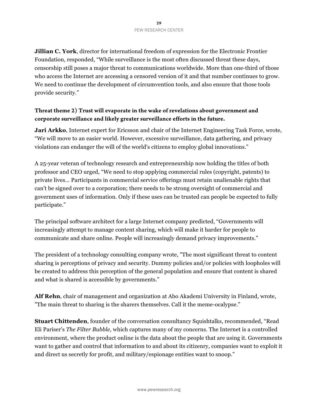**Jillian C. York**, director for international freedom of expression for the Electronic Frontier Foundation, responded, "While surveillance is the most often discussed threat these days, censorship still poses a major threat to communications worldwide. More than one-third of those who access the Internet are accessing a censored version of it and that number continues to grow. We need to continue the development of circumvention tools, and also ensure that those tools provide security."

## Threat theme 2) Trust will evaporate in the wake of revelations about government and corporate surveillance and likely greater surveillance efforts in the future.

**Jari Arkko**, Internet expert for Ericsson and chair of the Internet Engineering Task Force, wrote, "We will move to an easier world. However, excessive surveillance, data gathering, and privacy violations can endanger the will of the world's citizens to employ global innovations."

A 25-year veteran of technology research and entrepreneurship now holding the titles of both professor and CEO urged, "We need to stop applying commercial rules (copyright, patents) to private lives… Participants in commercial service offerings must retain unalienable rights that can't be signed over to a corporation; there needs to be strong oversight of commercial and government uses of information. Only if these uses can be trusted can people be expected to fully participate."

The principal software architect for a large Internet company predicted, "Governments will increasingly attempt to manage content sharing, which will make it harder for people to communicate and share online. People will increasingly demand privacy improvements."

The president of a technology consulting company wrote, "The most significant threat to content sharing is perceptions of privacy and security. Dummy policies and/or policies with loopholes will be created to address this perception of the general population and ensure that content is shared and what is shared is accessible by governments."

**Alf Rehn**, chair of management and organization at Abo Akademi University in Finland, wrote, "The main threat to sharing is the sharers themselves. Call it the meme-ocalypse."

**Stuart Chittenden**, founder of the conversation consultancy Squishtalks, recommended, "Read Eli Pariser's *The Filter Bubble*, which captures many of my concerns. The Internet is a controlled environment, where the product online is the data about the people that are using it. Governments want to gather and control that information to and about its citizenry, companies want to exploit it and direct us secretly for profit, and military/espionage entities want to snoop."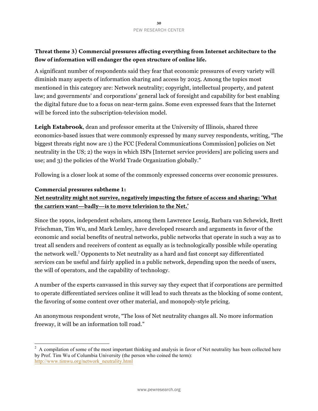# Threat theme 3) Commercial pressures affecting everything from Internet architecture to the flow of information will endanger the open structure of online life.

A significant number of respondents said they fear that economic pressures of every variety will diminish many aspects of information sharing and access by 2025. Among the topics most mentioned in this category are: Network neutrality; copyright, intellectual property, and patent law; and governments' and corporations' general lack of foresight and capability for best enabling the digital future due to a focus on near-term gains. Some even expressed fears that the Internet will be forced into the subscription-television model.

**Leigh Estabrook**, dean and professor emerita at the University of Illinois, shared three economics-based issues that were commonly expressed by many survey respondents, writing, "The biggest threats right now are 1) the FCC [Federal Communications Commission] policies on Net neutrality in the US; 2) the ways in which ISPs [Internet service providers] are policing users and use; and 3) the policies of the World Trade Organization globally."

Following is a closer look at some of the commonly expressed concerns over economic pressures.

#### Commercial pressures subtheme 1:

# Net neutrality might not survive, negatively impacting the future of access and sharing: 'What the carriers want—badly—is to move television to the Net.'

Since the 1990s, independent scholars, among them Lawrence Lessig, Barbara van Schewick, Brett Frischman, Tim Wu, and Mark Lemley, have developed research and arguments in favor of the economic and social benefits of neutral networks, public networks that operate in such a way as to treat all senders and receivers of content as equally as is technologically possible while operating the network well.<sup>2</sup> Opponents to Net neutrality as a hard and fast concept say differentiated services can be useful and fairly applied in a public network, depending upon the needs of users, the will of operators, and the capability of technology.

A number of the experts canvassed in this survey say they expect that if corporations are permitted to operate differentiated services online it will lead to such threats as the blocking of some content, the favoring of some content over other material, and monopoly-style pricing.

An anonymous respondent wrote, "The loss of Net neutrality changes all. No more information freeway, it will be an information toll road."

 $2 \text{ A compilation of some of the most important thinking and analysis in favor of Net neutrality has been collected here}$ by Prof. Tim Wu of Columbia University (the person who coined the term): http://www.timwu.org/network\_neutrality.html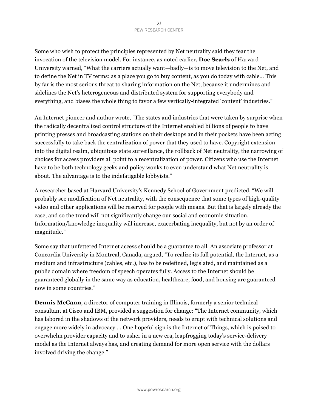Some who wish to protect the principles represented by Net neutrality said they fear the invocation of the television model. For instance, as noted earlier, **Doc Searls** of Harvard University warned, "What the carriers actually want—badly—is to move television to the Net, and to define the Net in TV terms: as a place you go to buy content, as you do today with cable… This by far is the most serious threat to sharing information on the Net, because it undermines and sidelines the Net's heterogeneous and distributed system for supporting everybody and everything, and biases the whole thing to favor a few vertically-integrated 'content' industries."

An Internet pioneer and author wrote, "The states and industries that were taken by surprise when the radically decentralized control structure of the Internet enabled billions of people to have printing presses and broadcasting stations on their desktops and in their pockets have been acting successfully to take back the centralization of power that they used to have. Copyright extension into the digital realm, ubiquitous state surveillance, the rollback of Net neutrality, the narrowing of choices for access providers all point to a recentralization of power. Citizens who use the Internet have to be both technology geeks and policy wonks to even understand what Net neutrality is about. The advantage is to the indefatigable lobbyists."

A researcher based at Harvard University's Kennedy School of Government predicted, "We will probably see modification of Net neutrality, with the consequence that some types of high-quality video and other applications will be reserved for people with means. But that is largely already the case, and so the trend will not significantly change our social and economic situation. Information/knowledge inequality will increase, exacerbating inequality, but not by an order of magnitude."

Some say that unfettered Internet access should be a guarantee to all. An associate professor at Concordia University in Montreal, Canada, argued, "To realize its full potential, the Internet, as a medium and infrastructure (cables, etc.), has to be redefined, legislated, and maintained as a public domain where freedom of speech operates fully. Access to the Internet should be guaranteed globally in the same way as education, healthcare, food, and housing are guaranteed now in some countries."

**Dennis McCann**, a director of computer training in Illinois, formerly a senior technical consultant at Cisco and IBM, provided a suggestion for change: "The Internet community, which has labored in the shadows of the network providers, needs to erupt with technical solutions and engage more widely in advocacy…. One hopeful sign is the Internet of Things, which is poised to overwhelm provider capacity and to usher in a new era, leapfrogging today's service-delivery model as the Internet always has, and creating demand for more open service with the dollars involved driving the change."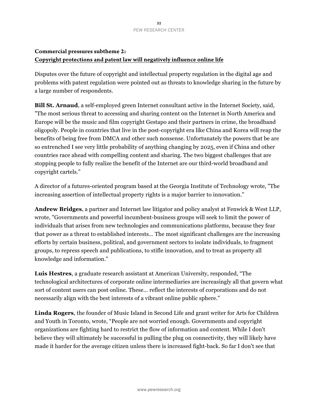# Commercial pressures subtheme 2: Copyright protections and patent law will negatively influence online life

Disputes over the future of copyright and intellectual property regulation in the digital age and problems with patent regulation were pointed out as threats to knowledge sharing in the future by a large number of respondents.

**Bill St. Arnaud**, a self-employed green Internet consultant active in the Internet Society, said, "The most serious threat to accessing and sharing content on the Internet in North America and Europe will be the music and film copyright Gestapo and their partners in crime, the broadband oligopoly. People in countries that live in the post-copyright era like China and Korea will reap the benefits of being free from DMCA and other such nonsense. Unfortunately the powers that be are so entrenched I see very little probability of anything changing by 2025, even if China and other countries race ahead with compelling content and sharing. The two biggest challenges that are stopping people to fully realize the benefit of the Internet are our third-world broadband and copyright cartels."

A director of a futures-oriented program based at the Georgia Institute of Technology wrote, "The increasing assertion of intellectual property rights is a major barrier to innovation."

**Andrew Bridges**, a partner and Internet law litigator and policy analyst at Fenwick & West LLP, wrote, "Governments and powerful incumbent-business groups will seek to limit the power of individuals that arises from new technologies and communications platforms, because they fear that power as a threat to established interests… The most significant challenges are the increasing efforts by certain business, political, and government sectors to isolate individuals, to fragment groups, to repress speech and publications, to stifle innovation, and to treat as property all knowledge and information."

**Luis Hestres**, a graduate research assistant at American University, responded, "The technological architectures of corporate online intermediaries are increasingly all that govern what sort of content users can post online. These… reflect the interests of corporations and do not necessarily align with the best interests of a vibrant online public sphere."

**Linda Rogers**, the founder of Music Island in Second Life and grant writer for Arts for Children and Youth in Toronto, wrote, "People are not worried enough. Governments and copyright organizations are fighting hard to restrict the flow of information and content. While I don't believe they will ultimately be successful in pulling the plug on connectivity, they will likely have made it harder for the average citizen unless there is increased fight-back. So far I don't see that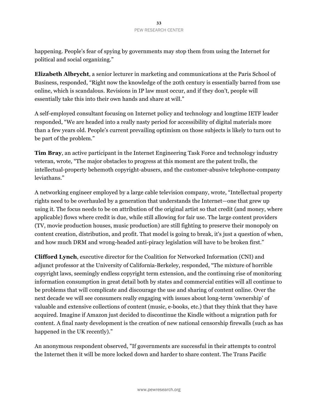happening. People's fear of spying by governments may stop them from using the Internet for political and social organizing."

**Elizabeth Albrycht**, a senior lecturer in marketing and communications at the Paris School of Business, responded, "Right now the knowledge of the 20th century is essentially barred from use online, which is scandalous. Revisions in IP law must occur, and if they don't, people will essentially take this into their own hands and share at will."

A self-employed consultant focusing on Internet policy and technology and longtime IETF leader responded, "We are headed into a really nasty period for accessibility of digital materials more than a few years old. People's current prevailing optimism on those subjects is likely to turn out to be part of the problem."

**Tim Bray**, an active participant in the Internet Engineering Task Force and technology industry veteran, wrote, "The major obstacles to progress at this moment are the patent trolls, the intellectual-property behemoth copyright-abusers, and the customer-abusive telephone-company leviathans."

A networking engineer employed by a large cable television company, wrote, "Intellectual property rights need to be overhauled by a generation that understands the Internet—one that grew up using it. The focus needs to be on attribution of the original artist so that credit (and money, where applicable) flows where credit is due, while still allowing for fair use. The large content providers (TV, movie production houses, music production) are still fighting to preserve their monopoly on content creation, distribution, and profit. That model is going to break, it's just a question of when, and how much DRM and wrong-headed anti-piracy legislation will have to be broken first."

**Clifford Lynch**, executive director for the Coalition for Networked Information (CNI) and adjunct professor at the University of California-Berkeley, responded, "The mixture of horrible copyright laws, seemingly endless copyright term extension, and the continuing rise of monitoring information consumption in great detail both by states and commercial entities will all continue to be problems that will complicate and discourage the use and sharing of content online. Over the next decade we will see consumers really engaging with issues about long-term 'ownership' of valuable and extensive collections of content (music, e-books, etc.) that they think that they have acquired. Imagine if Amazon just decided to discontinue the Kindle without a migration path for content. A final nasty development is the creation of new national censorship firewalls (such as has happened in the UK recently)."

An anonymous respondent observed, "If governments are successful in their attempts to control the Internet then it will be more locked down and harder to share content. The Trans Pacific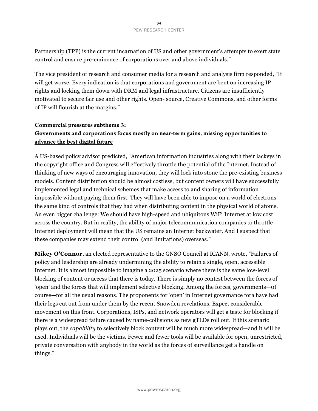Partnership (TPP) is the current incarnation of US and other government's attempts to exert state control and ensure pre-eminence of corporations over and above individuals."

The vice president of research and consumer media for a research and analysis firm responded, "It will get worse. Every indication is that corporations and government are bent on increasing IP rights and locking them down with DRM and legal infrastructure. Citizens are insufficiently motivated to secure fair use and other rights. Open- source, Creative Commons, and other forms of IP will flourish at the margins."

# Commercial pressures subtheme 3: Governments and corporations focus mostly on near-term gains, missing opportunities to advance the best digital future

A US-based policy advisor predicted, "American information industries along with their lackeys in the copyright office and Congress will effectively throttle the potential of the Internet. Instead of thinking of new ways of encouraging innovation, they will lock into stone the pre-existing business models. Content distribution should be almost costless, but content owners will have successfully implemented legal and technical schemes that make access to and sharing of information impossible without paying them first. They will have been able to impose on a world of electrons the same kind of controls that they had when distributing content in the physical world of atoms. An even bigger challenge: We should have high-speed and ubiquitous WiFi Internet at low cost across the country. But in reality, the ability of major telecommunication companies to throttle Internet deployment will mean that the US remains an Internet backwater. And I suspect that these companies may extend their control (and limitations) overseas."

**Mikey O'Connor**, an elected representative to the GNSO Council at ICANN, wrote, "Failures of policy and leadership are already undermining the ability to retain a single, open, accessible Internet. It is almost impossible to imagine a 2025 scenario where there is the same low-level blocking of content or access that there is today. There is simply no contest between the forces of 'open' and the forces that will implement selective blocking. Among the forces, governments—0f course—for all the usual reasons. The proponents for 'open' in Internet governance fora have had their legs cut out from under them by the recent Snowden revelations. Expect considerable movement on this front. Corporations, ISPs, and network operators will get a taste for blocking if there is a widespread failure caused by name-collisions as new gTLDs roll out. If this scenario plays out, the *capability* to selectively block content will be much more widespread—and it will be used. Individuals will be the victims. Fewer and fewer tools will be available for open, unrestricted, private conversation with anybody in the world as the forces of surveillance get a handle on things."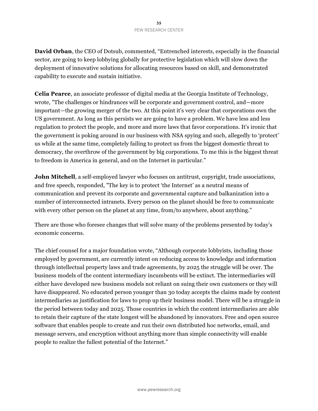**David Orban**, the CEO of Dotsub, commented, "Entrenched interests, especially in the financial sector, are going to keep lobbying globally for protective legislation which will slow down the deployment of innovative solutions for allocating resources based on skill, and demonstrated capability to execute and sustain initiative.

**Celia Pearce**, an associate professor of digital media at the Georgia Institute of Technology, wrote, "The challenges or hindrances will be corporate and government control, and—more important—the growing merger of the two. At this point it's very clear that corporations own the US government. As long as this persists we are going to have a problem. We have less and less regulation to protect the people, and more and more laws that favor corporations. It's ironic that the government is poking around in our business with NSA spying and such, allegedly to 'protect' us while at the same time, completely failing to protect us from the biggest domestic threat to democracy, the overthrow of the government by big corporations. To me this is the biggest threat to freedom in America in general, and on the Internet in particular."

**John Mitchell**, a self-employed lawyer who focuses on antitrust, copyright, trade associations, and free speech, responded, "The key is to protect 'the Internet' as a neutral means of communication and prevent its corporate and governmental capture and balkanization into a number of interconnected intranets. Every person on the planet should be free to communicate with every other person on the planet at any time, from/to anywhere, about anything."

There are those who foresee changes that will solve many of the problems presented by today's economic concerns.

The chief counsel for a major foundation wrote, "Although corporate lobbyists, including those employed by government, are currently intent on reducing access to knowledge and information through intellectual property laws and trade agreements, by 2025 the struggle will be over. The business models of the content intermediary incumbents will be extinct. The intermediaries will either have developed new business models not reliant on suing their own customers or they will have disappeared. No educated person younger than 30 today accepts the claims made by content intermediaries as justification for laws to prop up their business model. There will be a struggle in the period between today and 2025. Those countries in which the content intermediaries are able to retain their capture of the state longest will be abandoned by innovators. Free and open source software that enables people to create and run their own distributed hoc networks, email, and message servers, and encryption without anything more than simple connectivity will enable people to realize the fullest potential of the Internet."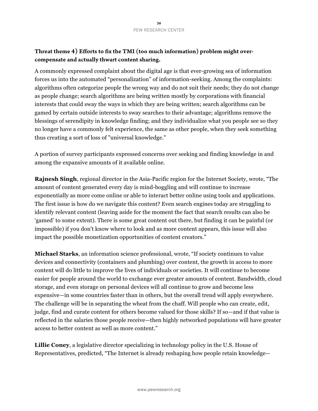# Threat theme 4) Efforts to fix the TMI (too much information) problem might overcompensate and actually thwart content sharing.

A commonly expressed complaint about the digital age is that ever-growing sea of information forces us into the automated "personalization" of information-seeking. Among the complaints: algorithms often categorize people the wrong way and do not suit their needs; they do not change as people change; search algorithms are being written mostly by corporations with financial interests that could sway the ways in which they are being written; search algorithms can be gamed by certain outside interests to sway searches to their advantage; algorithms remove the blessings of serendipity in knowledge finding; and they individualize what you people see so they no longer have a commonly felt experience, the same as other people, when they seek something thus creating a sort of loss of "universal knowledge."

A portion of survey participants expressed concerns over seeking and finding knowledge in and among the expansive amounts of it available online.

**Rajnesh Singh**, regional director in the Asia-Pacific region for the Internet Society, wrote, "The amount of content generated every day is mind-boggling and will continue to increase exponentially as more come online or able to interact better online using tools and applications. The first issue is how do we navigate this content? Even search engines today are struggling to identify relevant content (leaving aside for the moment the fact that search results can also be 'gamed' to some extent). There is some great content out there, but finding it can be painful (or impossible) if you don't know where to look and as more content appears, this issue will also impact the possible monetization opportunities of content creators."

**Michael Starks**, an information science professional, wrote, "If society continues to value devices and connectivity (containers and plumbing) over content, the growth in access to more content will do little to improve the lives of individuals or societies. It will continue to become easier for people around the world to exchange ever greater amounts of content. Bandwidth, cloud storage, and even storage on personal devices will all continue to grow and become less expensive—in some countries faster than in others, but the overall trend will apply everywhere. The challenge will be in separating the wheat from the chaff. Will people who can create, edit, judge, find and curate content for others become valued for those skills? If so—and if that value is reflected in the salaries those people receive—then highly networked populations will have greater access to better content as well as more content."

**Lillie Coney**, a legislative director specializing in technology policy in the U.S. House of Representatives, predicted, "The Internet is already reshaping how people retain knowledge--